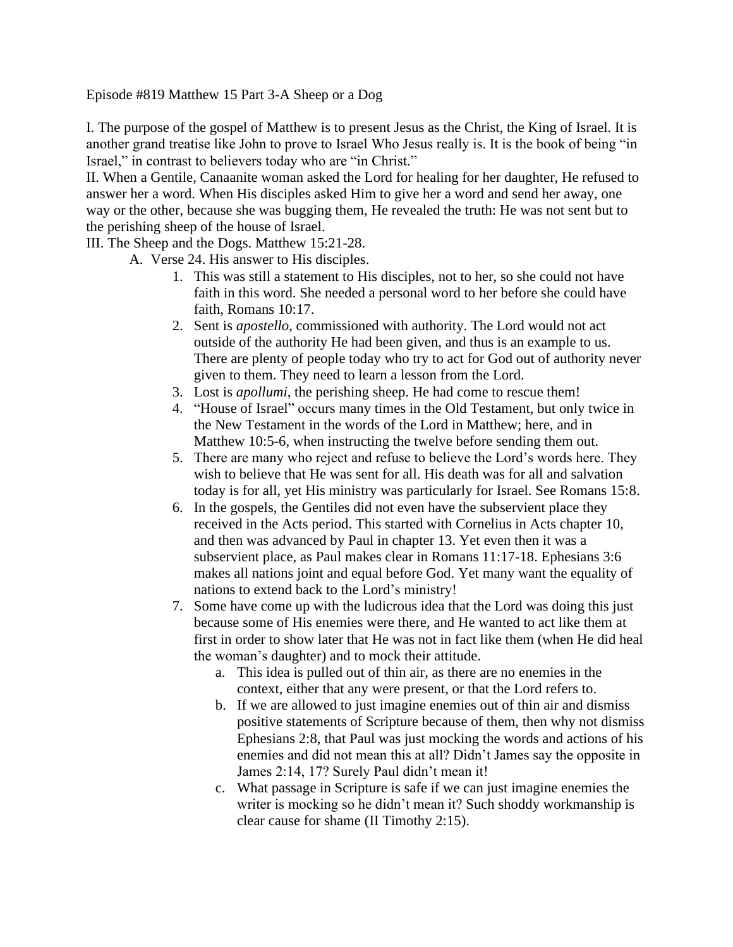Episode #819 Matthew 15 Part 3-A Sheep or a Dog

I. The purpose of the gospel of Matthew is to present Jesus as the Christ, the King of Israel. It is another grand treatise like John to prove to Israel Who Jesus really is. It is the book of being "in Israel," in contrast to believers today who are "in Christ."

II. When a Gentile, Canaanite woman asked the Lord for healing for her daughter, He refused to answer her a word. When His disciples asked Him to give her a word and send her away, one way or the other, because she was bugging them, He revealed the truth: He was not sent but to the perishing sheep of the house of Israel.

III. The Sheep and the Dogs. Matthew 15:21-28.

A. Verse 24. His answer to His disciples.

- 1. This was still a statement to His disciples, not to her, so she could not have faith in this word. She needed a personal word to her before she could have faith, Romans 10:17.
- 2. Sent is *apostello*, commissioned with authority. The Lord would not act outside of the authority He had been given, and thus is an example to us. There are plenty of people today who try to act for God out of authority never given to them. They need to learn a lesson from the Lord.
- 3. Lost is *apollumi*, the perishing sheep. He had come to rescue them!
- 4. "House of Israel" occurs many times in the Old Testament, but only twice in the New Testament in the words of the Lord in Matthew; here, and in Matthew 10:5-6, when instructing the twelve before sending them out.
- 5. There are many who reject and refuse to believe the Lord's words here. They wish to believe that He was sent for all. His death was for all and salvation today is for all, yet His ministry was particularly for Israel. See Romans 15:8.
- 6. In the gospels, the Gentiles did not even have the subservient place they received in the Acts period. This started with Cornelius in Acts chapter 10, and then was advanced by Paul in chapter 13. Yet even then it was a subservient place, as Paul makes clear in Romans 11:17-18. Ephesians 3:6 makes all nations joint and equal before God. Yet many want the equality of nations to extend back to the Lord's ministry!
- 7. Some have come up with the ludicrous idea that the Lord was doing this just because some of His enemies were there, and He wanted to act like them at first in order to show later that He was not in fact like them (when He did heal the woman's daughter) and to mock their attitude.
	- a. This idea is pulled out of thin air, as there are no enemies in the context, either that any were present, or that the Lord refers to.
	- b. If we are allowed to just imagine enemies out of thin air and dismiss positive statements of Scripture because of them, then why not dismiss Ephesians 2:8, that Paul was just mocking the words and actions of his enemies and did not mean this at all? Didn't James say the opposite in James 2:14, 17? Surely Paul didn't mean it!
	- c. What passage in Scripture is safe if we can just imagine enemies the writer is mocking so he didn't mean it? Such shoddy workmanship is clear cause for shame (II Timothy 2:15).